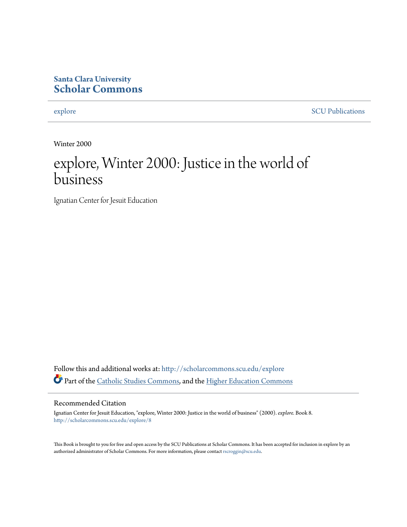#### **Santa Clara University [Scholar Commons](http://scholarcommons.scu.edu?utm_source=scholarcommons.scu.edu%2Fexplore%2F8&utm_medium=PDF&utm_campaign=PDFCoverPages)**

[explore](http://scholarcommons.scu.edu/explore?utm_source=scholarcommons.scu.edu%2Fexplore%2F8&utm_medium=PDF&utm_campaign=PDFCoverPages) [SCU Publications](http://scholarcommons.scu.edu/scu_pubs?utm_source=scholarcommons.scu.edu%2Fexplore%2F8&utm_medium=PDF&utm_campaign=PDFCoverPages)

Winter 2000

### explore, Winter 2000: Justice in the world of business

Ignatian Center for Jesuit Education

Follow this and additional works at: [http://scholarcommons.scu.edu/explore](http://scholarcommons.scu.edu/explore?utm_source=scholarcommons.scu.edu%2Fexplore%2F8&utm_medium=PDF&utm_campaign=PDFCoverPages) Part of the [Catholic Studies Commons,](http://network.bepress.com/hgg/discipline/1294?utm_source=scholarcommons.scu.edu%2Fexplore%2F8&utm_medium=PDF&utm_campaign=PDFCoverPages) and the [Higher Education Commons](http://network.bepress.com/hgg/discipline/1245?utm_source=scholarcommons.scu.edu%2Fexplore%2F8&utm_medium=PDF&utm_campaign=PDFCoverPages)

#### Recommended Citation

Ignatian Center for Jesuit Education, "explore, Winter 2000: Justice in the world of business" (2000). *explore.* Book 8. [http://scholarcommons.scu.edu/explore/8](http://scholarcommons.scu.edu/explore/8?utm_source=scholarcommons.scu.edu%2Fexplore%2F8&utm_medium=PDF&utm_campaign=PDFCoverPages)

This Book is brought to you for free and open access by the SCU Publications at Scholar Commons. It has been accepted for inclusion in explore by an authorized administrator of Scholar Commons. For more information, please contact [rscroggin@scu.edu.](mailto:rscroggin@scu.edu)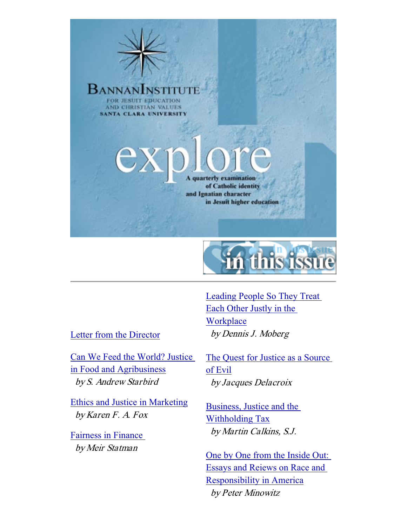



Letter from the Director

Can We Feed the World? Justice in Food and Agribusiness by S. Andrew Starbird

Ethics and Justice in Marketing by Karen F. A. Fox

Fairness in Finance by Meir Statman

Leading People So They Treat Each Other Justly in the **Workplace** by Dennis J. Moberg

The Quest for Justice as a Source of Evil by Jacques Delacroix

Business, Justice and the Withholding Tax by Martin Calkins, S.J.

One by One from the Inside Out: Essays and Reiews on Race and Responsibility in America by Peter Minowitz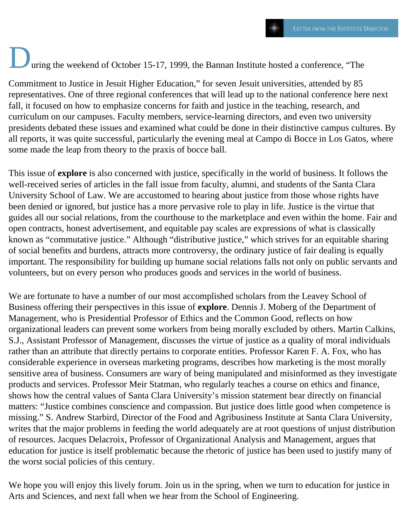## uring the weekend of October 15-17, 1999, the Bannan Institute hosted a conference, "The

Commitment to Justice in Jesuit Higher Education," for seven Jesuit universities, attended by 85 representatives. One of three regional conferences that will lead up to the national conference here next fall, it focused on how to emphasize concerns for faith and justice in the teaching, research, and curriculum on our campuses. Faculty members, service-learning directors, and even two university presidents debated these issues and examined what could be done in their distinctive campus cultures. By all reports, it was quite successful, particularly the evening meal at Campo di Bocce in Los Gatos, where some made the leap from theory to the praxis of bocce ball.

This issue of **explore** is also concerned with justice, specifically in the world of business. It follows the well-received series of articles in the fall issue from faculty, alumni, and students of the Santa Clara University School of Law. We are accustomed to hearing about justice from those whose rights have been denied or ignored, but justice has a more pervasive role to play in life. Justice is the virtue that guides all our social relations, from the courthouse to the marketplace and even within the home. Fair and open contracts, honest advertisement, and equitable pay scales are expressions of what is classically known as "commutative justice." Although "distributive justice," which strives for an equitable sharing of social benefits and burdens, attracts more controversy, the ordinary justice of fair dealing is equally important. The responsibility for building up humane social relations falls not only on public servants and volunteers, but on every person who produces goods and services in the world of business.

We are fortunate to have a number of our most accomplished scholars from the Leavey School of Business offering their perspectives in this issue of **explore**. Dennis J. Moberg of the Department of Management, who is Presidential Professor of Ethics and the Common Good, reflects on how organizational leaders can prevent some workers from being morally excluded by others. Martin Calkins, S.J., Assistant Professor of Management, discusses the virtue of justice as a quality of moral individuals rather than an attribute that directly pertains to corporate entities. Professor Karen F. A. Fox, who has considerable experience in overseas marketing programs, describes how marketing is the most morally sensitive area of business. Consumers are wary of being manipulated and misinformed as they investigate products and services. Professor Meir Statman, who regularly teaches a course on ethics and finance, shows how the central values of Santa Clara University's mission statement bear directly on financial matters: "Justice combines conscience and compassion. But justice does little good when competence is missing." S. Andrew Starbird, Director of the Food and Agribusiness Institute at Santa Clara University, writes that the major problems in feeding the world adequately are at root questions of unjust distribution of resources. Jacques Delacroix, Professor of Organizational Analysis and Management, argues that education for justice is itself problematic because the rhetoric of justice has been used to justify many of the worst social policies of this century.

We hope you will enjoy this lively forum. Join us in the spring, when we turn to education for justice in Arts and Sciences, and next fall when we hear from the School of Engineering.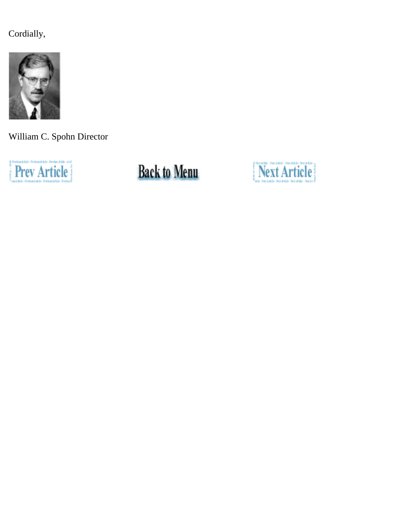Cordially,



William C. Spohn Director



**Back to Menu** 

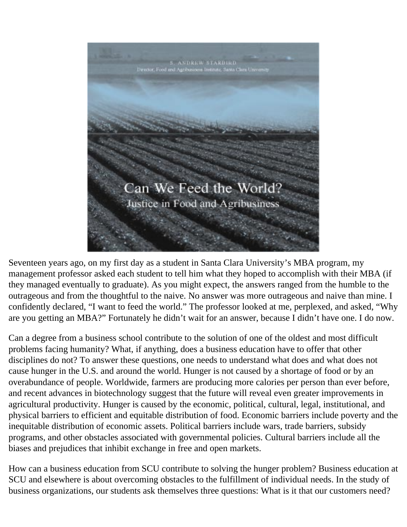

Seventeen years ago, on my first day as a student in Santa Clara University's MBA program, my management professor asked each student to tell him what they hoped to accomplish with their MBA (if they managed eventually to graduate). As you might expect, the answers ranged from the humble to the outrageous and from the thoughtful to the naive. No answer was more outrageous and naive than mine. I confidently declared, "I want to feed the world." The professor looked at me, perplexed, and asked, "Why are you getting an MBA?" Fortunately he didn't wait for an answer, because I didn't have one. I do now.

Can a degree from a business school contribute to the solution of one of the oldest and most difficult problems facing humanity? What, if anything, does a business education have to offer that other disciplines do not? To answer these questions, one needs to understand what does and what does not cause hunger in the U.S. and around the world. Hunger is not caused by a shortage of food or by an overabundance of people. Worldwide, farmers are producing more calories per person than ever before, and recent advances in biotechnology suggest that the future will reveal even greater improvements in agricultural productivity. Hunger is caused by the economic, political, cultural, legal, institutional, and physical barriers to efficient and equitable distribution of food. Economic barriers include poverty and the inequitable distribution of economic assets. Political barriers include wars, trade barriers, subsidy programs, and other obstacles associated with governmental policies. Cultural barriers include all the biases and prejudices that inhibit exchange in free and open markets.

How can a business education from SCU contribute to solving the hunger problem? Business education at SCU and elsewhere is about overcoming obstacles to the fulfillment of individual needs. In the study of business organizations, our students ask themselves three questions: What is it that our customers need?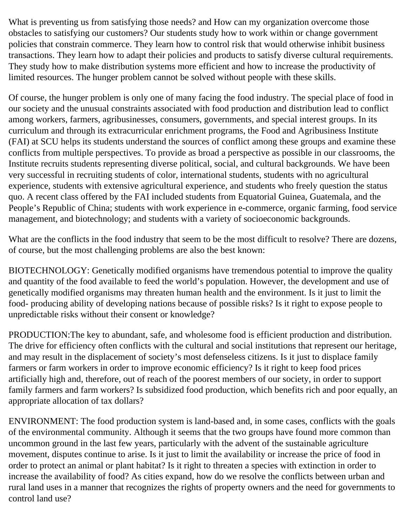What is preventing us from satisfying those needs? and How can my organization overcome those obstacles to satisfying our customers? Our students study how to work within or change government policies that constrain commerce. They learn how to control risk that would otherwise inhibit business transactions. They learn how to adapt their policies and products to satisfy diverse cultural requirements. They study how to make distribution systems more efficient and how to increase the productivity of limited resources. The hunger problem cannot be solved without people with these skills.

Of course, the hunger problem is only one of many facing the food industry. The special place of food in our society and the unusual constraints associated with food production and distribution lead to conflict among workers, farmers, agribusinesses, consumers, governments, and special interest groups. In its curriculum and through its extracurricular enrichment programs, the Food and Agribusiness Institute (FAI) at SCU helps its students understand the sources of conflict among these groups and examine these conflicts from multiple perspectives. To provide as broad a perspective as possible in our classrooms, the Institute recruits students representing diverse political, social, and cultural backgrounds. We have been very successful in recruiting students of color, international students, students with no agricultural experience, students with extensive agricultural experience, and students who freely question the status quo. A recent class offered by the FAI included students from Equatorial Guinea, Guatemala, and the People's Republic of China; students with work experience in e-commerce, organic farming, food service management, and biotechnology; and students with a variety of socioeconomic backgrounds.

What are the conflicts in the food industry that seem to be the most difficult to resolve? There are dozens, of course, but the most challenging problems are also the best known:

BIOTECHNOLOGY: Genetically modified organisms have tremendous potential to improve the quality and quantity of the food available to feed the world's population. However, the development and use of genetically modified organisms may threaten human health and the environment. Is it just to limit the food- producing ability of developing nations because of possible risks? Is it right to expose people to unpredictable risks without their consent or knowledge?

PRODUCTION:The key to abundant, safe, and wholesome food is efficient production and distribution. The drive for efficiency often conflicts with the cultural and social institutions that represent our heritage, and may result in the displacement of society's most defenseless citizens. Is it just to displace family farmers or farm workers in order to improve economic efficiency? Is it right to keep food prices artificially high and, therefore, out of reach of the poorest members of our society, in order to support family farmers and farm workers? Is subsidized food production, which benefits rich and poor equally, an appropriate allocation of tax dollars?

ENVIRONMENT: The food production system is land-based and, in some cases, conflicts with the goals of the environmental community. Although it seems that the two groups have found more common than uncommon ground in the last few years, particularly with the advent of the sustainable agriculture movement, disputes continue to arise. Is it just to limit the availability or increase the price of food in order to protect an animal or plant habitat? Is it right to threaten a species with extinction in order to increase the availability of food? As cities expand, how do we resolve the conflicts between urban and rural land uses in a manner that recognizes the rights of property owners and the need for governments to control land use?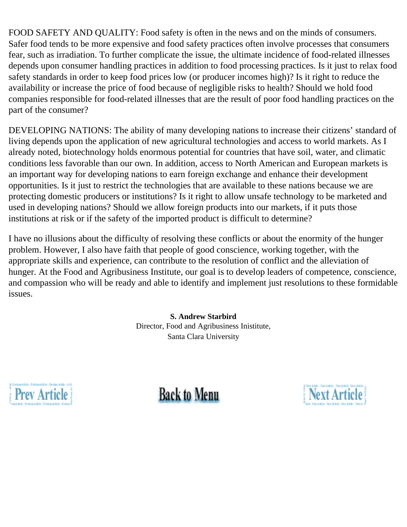FOOD SAFETY AND QUALITY: Food safety is often in the news and on the minds of consumers. Safer food tends to be more expensive and food safety practices often involve processes that consumers fear, such as irradiation. To further complicate the issue, the ultimate incidence of food-related illnesses depends upon consumer handling practices in addition to food processing practices. Is it just to relax food safety standards in order to keep food prices low (or producer incomes high)? Is it right to reduce the availability or increase the price of food because of negligible risks to health? Should we hold food companies responsible for food-related illnesses that are the result of poor food handling practices on the part of the consumer?

DEVELOPING NATIONS: The ability of many developing nations to increase their citizens' standard of living depends upon the application of new agricultural technologies and access to world markets. As I already noted, biotechnology holds enormous potential for countries that have soil, water, and climatic conditions less favorable than our own. In addition, access to North American and European markets is an important way for developing nations to earn foreign exchange and enhance their development opportunities. Is it just to restrict the technologies that are available to these nations because we are protecting domestic producers or institutions? Is it right to allow unsafe technology to be marketed and used in developing nations? Should we allow foreign products into our markets, if it puts those institutions at risk or if the safety of the imported product is difficult to determine?

I have no illusions about the difficulty of resolving these conflicts or about the enormity of the hunger problem. However, I also have faith that people of good conscience, working together, with the appropriate skills and experience, can contribute to the resolution of conflict and the alleviation of hunger. At the Food and Agribusiness Institute, our goal is to develop leaders of competence, conscience, and compassion who will be ready and able to identify and implement just resolutions to these formidable issues.

> **S. Andrew Starbird** Director, Food and Agribusiness Inistitute, Santa Clara University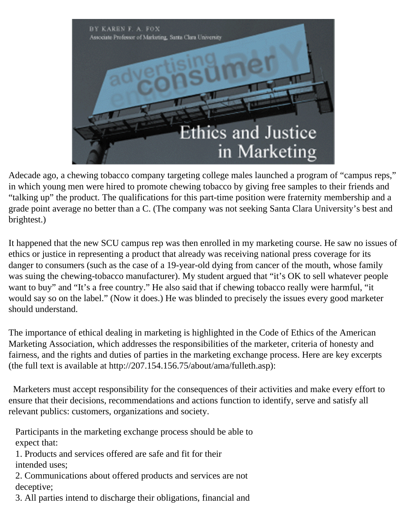

Adecade ago, a chewing tobacco company targeting college males launched a program of "campus reps," in which young men were hired to promote chewing tobacco by giving free samples to their friends and "talking up" the product. The qualifications for this part-time position were fraternity membership and a grade point average no better than a C. (The company was not seeking Santa Clara University's best and brightest.)

It happened that the new SCU campus rep was then enrolled in my marketing course. He saw no issues of ethics or justice in representing a product that already was receiving national press coverage for its danger to consumers (such as the case of a 19-year-old dying from cancer of the mouth, whose family was suing the chewing-tobacco manufacturer). My student argued that "it's OK to sell whatever people want to buy" and "It's a free country." He also said that if chewing tobacco really were harmful, "it would say so on the label." (Now it does.) He was blinded to precisely the issues every good marketer should understand.

The importance of ethical dealing in marketing is highlighted in the Code of Ethics of the American Marketing Association, which addresses the responsibilities of the marketer, criteria of honesty and fairness, and the rights and duties of parties in the marketing exchange process. Here are key excerpts (the full text is available at http://207.154.156.75/about/ama/fulleth.asp):

 Marketers must accept responsibility for the consequences of their activities and make every effort to ensure that their decisions, recommendations and actions function to identify, serve and satisfy all relevant publics: customers, organizations and society.

 Participants in the marketing exchange process should be able to expect that:

 1. Products and services offered are safe and fit for their intended uses;

 2. Communications about offered products and services are not deceptive;

3. All parties intend to discharge their obligations, financial and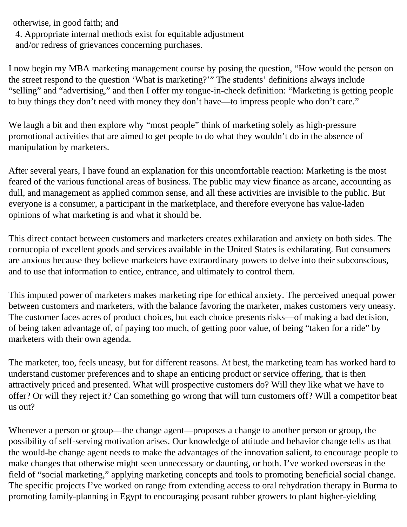otherwise, in good faith; and

4. Appropriate internal methods exist for equitable adjustment

and/or redress of grievances concerning purchases.

I now begin my MBA marketing management course by posing the question, "How would the person on the street respond to the question 'What is marketing?'" The students' definitions always include "selling" and "advertising," and then I offer my tongue-in-cheek definition: "Marketing is getting people to buy things they don't need with money they don't have—to impress people who don't care."

We laugh a bit and then explore why "most people" think of marketing solely as high-pressure promotional activities that are aimed to get people to do what they wouldn't do in the absence of manipulation by marketers.

After several years, I have found an explanation for this uncomfortable reaction: Marketing is the most feared of the various functional areas of business. The public may view finance as arcane, accounting as dull, and management as applied common sense, and all these activities are invisible to the public. But everyone is a consumer, a participant in the marketplace, and therefore everyone has value-laden opinions of what marketing is and what it should be.

This direct contact between customers and marketers creates exhilaration and anxiety on both sides. The cornucopia of excellent goods and services available in the United States is exhilarating. But consumers are anxious because they believe marketers have extraordinary powers to delve into their subconscious, and to use that information to entice, entrance, and ultimately to control them.

This imputed power of marketers makes marketing ripe for ethical anxiety. The perceived unequal power between customers and marketers, with the balance favoring the marketer, makes customers very uneasy. The customer faces acres of product choices, but each choice presents risks—of making a bad decision, of being taken advantage of, of paying too much, of getting poor value, of being "taken for a ride" by marketers with their own agenda.

The marketer, too, feels uneasy, but for different reasons. At best, the marketing team has worked hard to understand customer preferences and to shape an enticing product or service offering, that is then attractively priced and presented. What will prospective customers do? Will they like what we have to offer? Or will they reject it? Can something go wrong that will turn customers off? Will a competitor beat us out?

Whenever a person or group—the change agent—proposes a change to another person or group, the possibility of self-serving motivation arises. Our knowledge of attitude and behavior change tells us that the would-be change agent needs to make the advantages of the innovation salient, to encourage people to make changes that otherwise might seen unnecessary or daunting, or both. I've worked overseas in the field of "social marketing," applying marketing concepts and tools to promoting beneficial social change. The specific projects I've worked on range from extending access to oral rehydration therapy in Burma to promoting family-planning in Egypt to encouraging peasant rubber growers to plant higher-yielding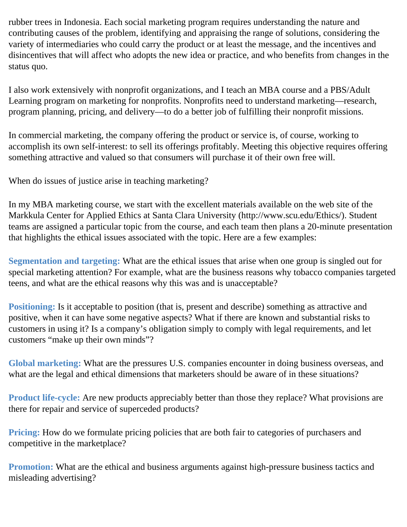rubber trees in Indonesia. Each social marketing program requires understanding the nature and contributing causes of the problem, identifying and appraising the range of solutions, considering the variety of intermediaries who could carry the product or at least the message, and the incentives and disincentives that will affect who adopts the new idea or practice, and who benefits from changes in the status quo.

I also work extensively with nonprofit organizations, and I teach an MBA course and a PBS/Adult Learning program on marketing for nonprofits. Nonprofits need to understand marketing—research, program planning, pricing, and delivery—to do a better job of fulfilling their nonprofit missions.

In commercial marketing, the company offering the product or service is, of course, working to accomplish its own self-interest: to sell its offerings profitably. Meeting this objective requires offering something attractive and valued so that consumers will purchase it of their own free will.

When do issues of justice arise in teaching marketing?

In my MBA marketing course, we start with the excellent materials available on the web site of the Markkula Center for Applied Ethics at Santa Clara University (http://www.scu.edu/Ethics/). Student teams are assigned a particular topic from the course, and each team then plans a 20-minute presentation that highlights the ethical issues associated with the topic. Here are a few examples:

**Segmentation and targeting:** What are the ethical issues that arise when one group is singled out for special marketing attention? For example, what are the business reasons why tobacco companies targeted teens, and what are the ethical reasons why this was and is unacceptable?

**Positioning:** Is it acceptable to position (that is, present and describe) something as attractive and positive, when it can have some negative aspects? What if there are known and substantial risks to customers in using it? Is a company's obligation simply to comply with legal requirements, and let customers "make up their own minds"?

**Global marketing:** What are the pressures U.S. companies encounter in doing business overseas, and what are the legal and ethical dimensions that marketers should be aware of in these situations?

**Product life-cycle:** Are new products appreciably better than those they replace? What provisions are there for repair and service of superceded products?

**Pricing:** How do we formulate pricing policies that are both fair to categories of purchasers and competitive in the marketplace?

**Promotion:** What are the ethical and business arguments against high-pressure business tactics and misleading advertising?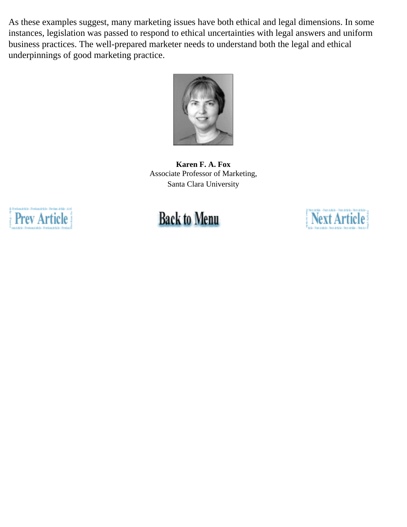As these examples suggest, many marketing issues have both ethical and legal dimensions. In some instances, legislation was passed to respond to ethical uncertainties with legal answers and uniform business practices. The well-prepared marketer needs to understand both the legal and ethical underpinnings of good marketing practice.



**Karen F. A. Fox** Associate Professor of Marketing, Santa Clara University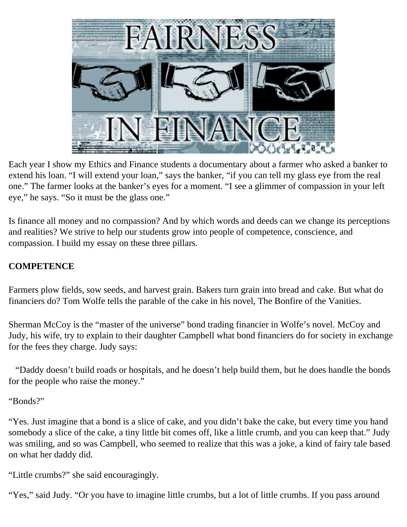

Each year I show my Ethics and Finance students a documentary about a farmer who asked a banker to extend his loan. "I will extend your loan," says the banker, "if you can tell my glass eye from the real one." The farmer looks at the banker's eyes for a moment. "I see a glimmer of compassion in your left eye," he says. "So it must be the glass one."

Is finance all money and no compassion? And by which words and deeds can we change its perceptions and realities? We strive to help our students grow into people of competence, conscience, and compassion. I build my essay on these three pillars.

#### **COMPETENCE**

Farmers plow fields, sow seeds, and harvest grain. Bakers turn grain into bread and cake. But what do financiers do? Tom Wolfe tells the parable of the cake in his novel, The Bonfire of the Vanities.

Sherman McCoy is the "master of the universe" bond trading financier in Wolfe's novel. McCoy and Judy, his wife, try to explain to their daughter Campbell what bond financiers do for society in exchange for the fees they charge. Judy says:

 "Daddy doesn't build roads or hospitals, and he doesn't help build them, but he does handle the bonds for the people who raise the money."

"Bonds?"

"Yes. Just imagine that a bond is a slice of cake, and you didn't bake the cake, but every time you hand somebody a slice of the cake, a tiny little bit comes off, like a little crumb, and you can keep that." Judy was smiling, and so was Campbell, who seemed to realize that this was a joke, a kind of fairy tale based on what her daddy did.

"Little crumbs?" she said encouragingly.

"Yes," said Judy. "Or you have to imagine little crumbs, but a lot of little crumbs. If you pass around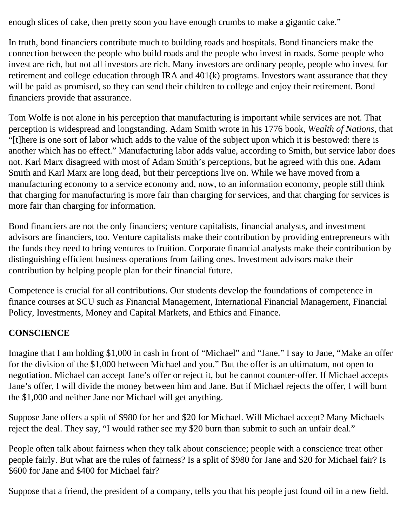enough slices of cake, then pretty soon you have enough crumbs to make a gigantic cake."

In truth, bond financiers contribute much to building roads and hospitals. Bond financiers make the connection between the people who build roads and the people who invest in roads. Some people who invest are rich, but not all investors are rich. Many investors are ordinary people, people who invest for retirement and college education through IRA and 401(k) programs. Investors want assurance that they will be paid as promised, so they can send their children to college and enjoy their retirement. Bond financiers provide that assurance.

Tom Wolfe is not alone in his perception that manufacturing is important while services are not. That perception is widespread and longstanding. Adam Smith wrote in his 1776 book, *Wealth of Nations*, that "[t]here is one sort of labor which adds to the value of the subject upon which it is bestowed: there is another which has no effect." Manufacturing labor adds value, according to Smith, but service labor does not. Karl Marx disagreed with most of Adam Smith's perceptions, but he agreed with this one. Adam Smith and Karl Marx are long dead, but their perceptions live on. While we have moved from a manufacturing economy to a service economy and, now, to an information economy, people still think that charging for manufacturing is more fair than charging for services, and that charging for services is more fair than charging for information.

Bond financiers are not the only financiers; venture capitalists, financial analysts, and investment advisors are financiers, too. Venture capitalists make their contribution by providing entrepreneurs with the funds they need to bring ventures to fruition. Corporate financial analysts make their contribution by distinguishing efficient business operations from failing ones. Investment advisors make their contribution by helping people plan for their financial future.

Competence is crucial for all contributions. Our students develop the foundations of competence in finance courses at SCU such as Financial Management, International Financial Management, Financial Policy, Investments, Money and Capital Markets, and Ethics and Finance.

#### **CONSCIENCE**

Imagine that I am holding \$1,000 in cash in front of "Michael" and "Jane." I say to Jane, "Make an offer for the division of the \$1,000 between Michael and you." But the offer is an ultimatum, not open to negotiation. Michael can accept Jane's offer or reject it, but he cannot counter-offer. If Michael accepts Jane's offer, I will divide the money between him and Jane. But if Michael rejects the offer, I will burn the \$1,000 and neither Jane nor Michael will get anything.

Suppose Jane offers a split of \$980 for her and \$20 for Michael. Will Michael accept? Many Michaels reject the deal. They say, "I would rather see my \$20 burn than submit to such an unfair deal."

People often talk about fairness when they talk about conscience; people with a conscience treat other people fairly. But what are the rules of fairness? Is a split of \$980 for Jane and \$20 for Michael fair? Is \$600 for Jane and \$400 for Michael fair?

Suppose that a friend, the president of a company, tells you that his people just found oil in a new field.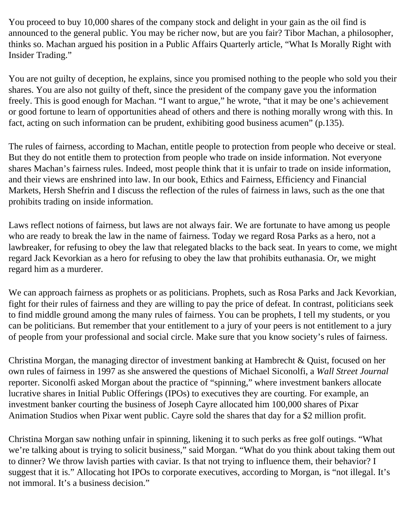You proceed to buy 10,000 shares of the company stock and delight in your gain as the oil find is announced to the general public. You may be richer now, but are you fair? Tibor Machan, a philosopher, thinks so. Machan argued his position in a Public Affairs Quarterly article, "What Is Morally Right with Insider Trading."

You are not guilty of deception, he explains, since you promised nothing to the people who sold you their shares. You are also not guilty of theft, since the president of the company gave you the information freely. This is good enough for Machan. "I want to argue," he wrote, "that it may be one's achievement or good fortune to learn of opportunities ahead of others and there is nothing morally wrong with this. In fact, acting on such information can be prudent, exhibiting good business acumen" (p.135).

The rules of fairness, according to Machan, entitle people to protection from people who deceive or steal. But they do not entitle them to protection from people who trade on inside information. Not everyone shares Machan's fairness rules. Indeed, most people think that it is unfair to trade on inside information, and their views are enshrined into law. In our book, Ethics and Fairness, Efficiency and Financial Markets, Hersh Shefrin and I discuss the reflection of the rules of fairness in laws, such as the one that prohibits trading on inside information.

Laws reflect notions of fairness, but laws are not always fair. We are fortunate to have among us people who are ready to break the law in the name of fairness. Today we regard Rosa Parks as a hero, not a lawbreaker, for refusing to obey the law that relegated blacks to the back seat. In years to come, we might regard Jack Kevorkian as a hero for refusing to obey the law that prohibits euthanasia. Or, we might regard him as a murderer.

We can approach fairness as prophets or as politicians. Prophets, such as Rosa Parks and Jack Kevorkian, fight for their rules of fairness and they are willing to pay the price of defeat. In contrast, politicians seek to find middle ground among the many rules of fairness. You can be prophets, I tell my students, or you can be politicians. But remember that your entitlement to a jury of your peers is not entitlement to a jury of people from your professional and social circle. Make sure that you know society's rules of fairness.

Christina Morgan, the managing director of investment banking at Hambrecht & Quist, focused on her own rules of fairness in 1997 as she answered the questions of Michael Siconolfi, a *Wall Street Journal* reporter. Siconolfi asked Morgan about the practice of "spinning," where investment bankers allocate lucrative shares in Initial Public Offerings (IPOs) to executives they are courting. For example, an investment banker courting the business of Joseph Cayre allocated him 100,000 shares of Pixar Animation Studios when Pixar went public. Cayre sold the shares that day for a \$2 million profit.

Christina Morgan saw nothing unfair in spinning, likening it to such perks as free golf outings. "What we're talking about is trying to solicit business," said Morgan. "What do you think about taking them out to dinner? We throw lavish parties with caviar. Is that not trying to influence them, their behavior? I suggest that it is." Allocating hot IPOs to corporate executives, according to Morgan, is "not illegal. It's not immoral. It's a business decision."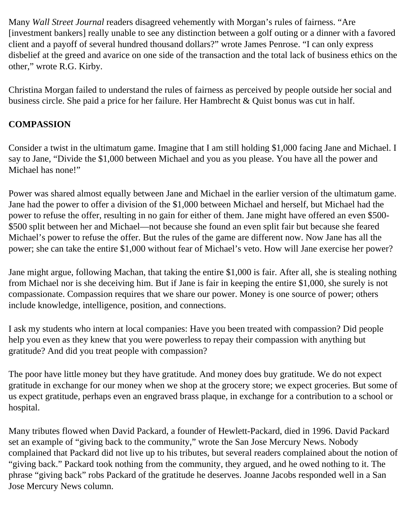Many *Wall Street Journal* readers disagreed vehemently with Morgan's rules of fairness. "Are [investment bankers] really unable to see any distinction between a golf outing or a dinner with a favored client and a payoff of several hundred thousand dollars?" wrote James Penrose. "I can only express disbelief at the greed and avarice on one side of the transaction and the total lack of business ethics on the other," wrote R.G. Kirby.

Christina Morgan failed to understand the rules of fairness as perceived by people outside her social and business circle. She paid a price for her failure. Her Hambrecht & Quist bonus was cut in half.

#### **COMPASSION**

Consider a twist in the ultimatum game. Imagine that I am still holding \$1,000 facing Jane and Michael. I say to Jane, "Divide the \$1,000 between Michael and you as you please. You have all the power and Michael has none!"

Power was shared almost equally between Jane and Michael in the earlier version of the ultimatum game. Jane had the power to offer a division of the \$1,000 between Michael and herself, but Michael had the power to refuse the offer, resulting in no gain for either of them. Jane might have offered an even \$500- \$500 split between her and Michael—not because she found an even split fair but because she feared Michael's power to refuse the offer. But the rules of the game are different now. Now Jane has all the power; she can take the entire \$1,000 without fear of Michael's veto. How will Jane exercise her power?

Jane might argue, following Machan, that taking the entire \$1,000 is fair. After all, she is stealing nothing from Michael nor is she deceiving him. But if Jane is fair in keeping the entire \$1,000, she surely is not compassionate. Compassion requires that we share our power. Money is one source of power; others include knowledge, intelligence, position, and connections.

I ask my students who intern at local companies: Have you been treated with compassion? Did people help you even as they knew that you were powerless to repay their compassion with anything but gratitude? And did you treat people with compassion?

The poor have little money but they have gratitude. And money does buy gratitude. We do not expect gratitude in exchange for our money when we shop at the grocery store; we expect groceries. But some of us expect gratitude, perhaps even an engraved brass plaque, in exchange for a contribution to a school or hospital.

Many tributes flowed when David Packard, a founder of Hewlett-Packard, died in 1996. David Packard set an example of "giving back to the community," wrote the San Jose Mercury News. Nobody complained that Packard did not live up to his tributes, but several readers complained about the notion of "giving back." Packard took nothing from the community, they argued, and he owed nothing to it. The phrase "giving back" robs Packard of the gratitude he deserves. Joanne Jacobs responded well in a San Jose Mercury News column.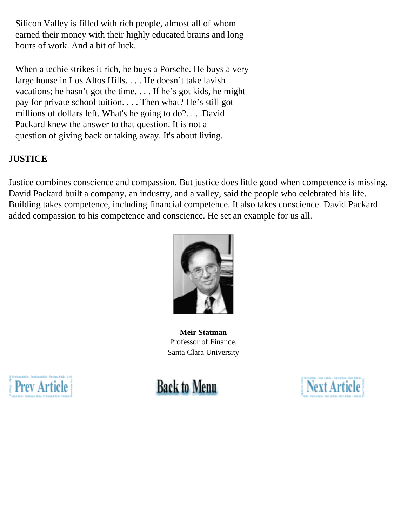Silicon Valley is filled with rich people, almost all of whom earned their money with their highly educated brains and long hours of work. And a bit of luck.

 When a techie strikes it rich, he buys a Porsche. He buys a very large house in Los Altos Hills. . . . He doesn't take lavish vacations; he hasn't got the time. . . . If he's got kids, he might pay for private school tuition. . . . Then what? He's still got millions of dollars left. What's he going to do?. . . .David Packard knew the answer to that question. It is not a question of giving back or taking away. It's about living.

#### **JUSTICE**

Justice combines conscience and compassion. But justice does little good when competence is missing. David Packard built a company, an industry, and a valley, said the people who celebrated his life. Building takes competence, including financial competence. It also takes conscience. David Packard added compassion to his competence and conscience. He set an example for us all.



**Meir Statman** Professor of Finance, Santa Clara University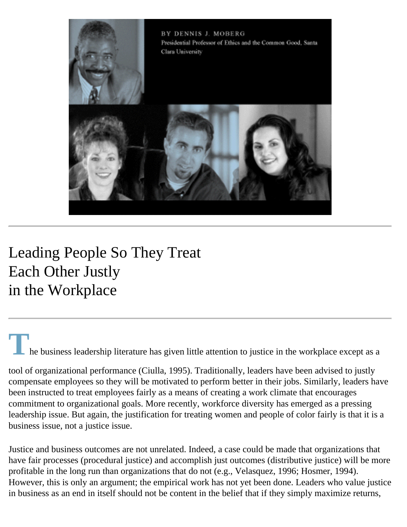

## Leading People So They Treat Each Other Justly in the Workplace

## **T** also he business leadership literature has given little attention to justice in the workplace except as a

tool of organizational performance (Ciulla, 1995). Traditionally, leaders have been advised to justly compensate employees so they will be motivated to perform better in their jobs. Similarly, leaders have been instructed to treat employees fairly as a means of creating a work climate that encourages commitment to organizational goals. More recently, workforce diversity has emerged as a pressing leadership issue. But again, the justification for treating women and people of color fairly is that it is a business issue, not a justice issue.

Justice and business outcomes are not unrelated. Indeed, a case could be made that organizations that have fair processes (procedural justice) and accomplish just outcomes (distributive justice) will be more profitable in the long run than organizations that do not (e.g., Velasquez, 1996; Hosmer, 1994). However, this is only an argument; the empirical work has not yet been done. Leaders who value justice in business as an end in itself should not be content in the belief that if they simply maximize returns,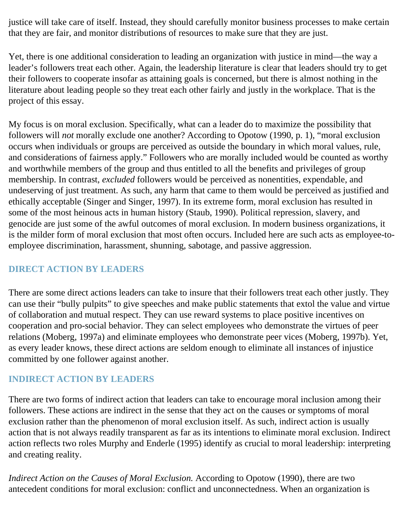justice will take care of itself. Instead, they should carefully monitor business processes to make certain that they are fair, and monitor distributions of resources to make sure that they are just.

Yet, there is one additional consideration to leading an organization with justice in mind—the way a leader's followers treat each other. Again, the leadership literature is clear that leaders should try to get their followers to cooperate insofar as attaining goals is concerned, but there is almost nothing in the literature about leading people so they treat each other fairly and justly in the workplace. That is the project of this essay.

My focus is on moral exclusion. Specifically, what can a leader do to maximize the possibility that followers will *not* morally exclude one another? According to Opotow (1990, p. 1), "moral exclusion occurs when individuals or groups are perceived as outside the boundary in which moral values, rule, and considerations of fairness apply." Followers who are morally included would be counted as worthy and worthwhile members of the group and thus entitled to all the benefits and privileges of group membership. In contrast, *excluded* followers would be perceived as nonentities, expendable, and undeserving of just treatment. As such, any harm that came to them would be perceived as justified and ethically acceptable (Singer and Singer, 1997). In its extreme form, moral exclusion has resulted in some of the most heinous acts in human history (Staub, 1990). Political repression, slavery, and genocide are just some of the awful outcomes of moral exclusion. In modern business organizations, it is the milder form of moral exclusion that most often occurs. Included here are such acts as employee-toemployee discrimination, harassment, shunning, sabotage, and passive aggression.

#### **DIRECT ACTION BY LEADERS**

There are some direct actions leaders can take to insure that their followers treat each other justly. They can use their "bully pulpits" to give speeches and make public statements that extol the value and virtue of collaboration and mutual respect. They can use reward systems to place positive incentives on cooperation and pro-social behavior. They can select employees who demonstrate the virtues of peer relations (Moberg, 1997a) and eliminate employees who demonstrate peer vices (Moberg, 1997b). Yet, as every leader knows, these direct actions are seldom enough to eliminate all instances of injustice committed by one follower against another.

#### **INDIRECT ACTION BY LEADERS**

There are two forms of indirect action that leaders can take to encourage moral inclusion among their followers. These actions are indirect in the sense that they act on the causes or symptoms of moral exclusion rather than the phenomenon of moral exclusion itself. As such, indirect action is usually action that is not always readily transparent as far as its intentions to eliminate moral exclusion. Indirect action reflects two roles Murphy and Enderle (1995) identify as crucial to moral leadership: interpreting and creating reality.

*Indirect Action on the Causes of Moral Exclusion.* According to Opotow (1990), there are two antecedent conditions for moral exclusion: conflict and unconnectedness. When an organization is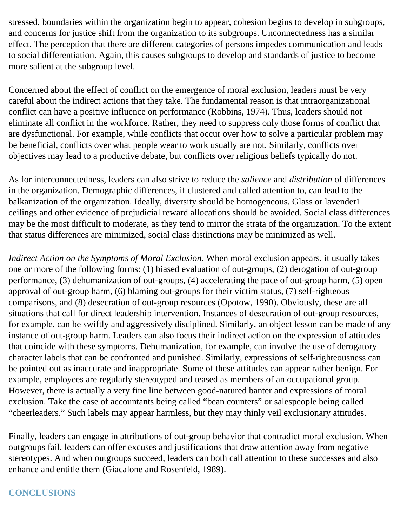stressed, boundaries within the organization begin to appear, cohesion begins to develop in subgroups, and concerns for justice shift from the organization to its subgroups. Unconnectedness has a similar effect. The perception that there are different categories of persons impedes communication and leads to social differentiation. Again, this causes subgroups to develop and standards of justice to become more salient at the subgroup level.

Concerned about the effect of conflict on the emergence of moral exclusion, leaders must be very careful about the indirect actions that they take. The fundamental reason is that intraorganizational conflict can have a positive influence on performance (Robbins, 1974). Thus, leaders should not eliminate all conflict in the workforce. Rather, they need to suppress only those forms of conflict that are dysfunctional. For example, while conflicts that occur over how to solve a particular problem may be beneficial, conflicts over what people wear to work usually are not. Similarly, conflicts over objectives may lead to a productive debate, but conflicts over religious beliefs typically do not.

As for interconnectedness, leaders can also strive to reduce the *salience* and *distribution* of differences in the organization. Demographic differences, if clustered and called attention to, can lead to the balkanization of the organization. Ideally, diversity should be homogeneous. Glass or lavender1 ceilings and other evidence of prejudicial reward allocations should be avoided. Social class differences may be the most difficult to moderate, as they tend to mirror the strata of the organization. To the extent that status differences are minimized, social class distinctions may be minimized as well.

*Indirect Action on the Symptoms of Moral Exclusion.* When moral exclusion appears, it usually takes one or more of the following forms: (1) biased evaluation of out-groups, (2) derogation of out-group performance, (3) dehumanization of out-groups, (4) accelerating the pace of out-group harm, (5) open approval of out-group harm, (6) blaming out-groups for their victim status, (7) self-righteous comparisons, and (8) desecration of out-group resources (Opotow, 1990). Obviously, these are all situations that call for direct leadership intervention. Instances of desecration of out-group resources, for example, can be swiftly and aggressively disciplined. Similarly, an object lesson can be made of any instance of out-group harm. Leaders can also focus their indirect action on the expression of attitudes that coincide with these symptoms. Dehumanization, for example, can involve the use of derogatory character labels that can be confronted and punished. Similarly, expressions of self-righteousness can be pointed out as inaccurate and inappropriate. Some of these attitudes can appear rather benign. For example, employees are regularly stereotyped and teased as members of an occupational group. However, there is actually a very fine line between good-natured banter and expressions of moral exclusion. Take the case of accountants being called "bean counters" or salespeople being called "cheerleaders." Such labels may appear harmless, but they may thinly veil exclusionary attitudes.

Finally, leaders can engage in attributions of out-group behavior that contradict moral exclusion. When outgroups fail, leaders can offer excuses and justifications that draw attention away from negative stereotypes. And when outgroups succeed, leaders can both call attention to these successes and also enhance and entitle them (Giacalone and Rosenfeld, 1989).

#### **CONCLUSIONS**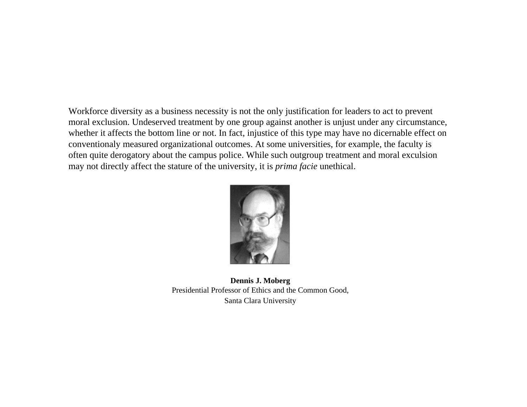Workforce diversity as a business necessity is not the only justification for leaders to act to prevent moral exclusion. Undeserved treatment by one group against another is unjust under any circumstance, whether it affects the bottom line or not. In fact, injustice of this type may have no dicernable effect on conventionaly measured organizational outcomes. At some universities, for example, the faculty is often quite derogatory about the campus police. While such outgroup treatment and moral exculsion may not directly affect the stature of the university, it is *prima facie* unethical.



**Dennis J. Moberg** Presidential Professor of Ethics and the Common Good, Santa Clara University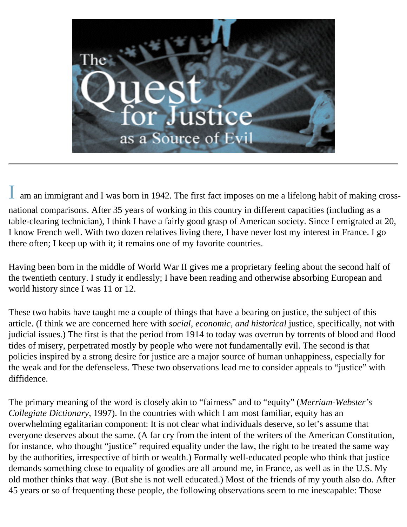

am an immigrant and I was born in 1942. The first fact imposes on me a lifelong habit of making crossnational comparisons. After 35 years of working in this country in different capacities (including as a table-clearing technician), I think I have a fairly good grasp of American society. Since I emigrated at 20, I know French well. With two dozen relatives living there, I have never lost my interest in France. I go there often; I keep up with it; it remains one of my favorite countries.

Having been born in the middle of World War II gives me a proprietary feeling about the second half of the twentieth century. I study it endlessly; I have been reading and otherwise absorbing European and world history since I was 11 or 12.

These two habits have taught me a couple of things that have a bearing on justice, the subject of this article. (I think we are concerned here with *social, economic, and historical* justice, specifically, not with judicial issues.) The first is that the period from 1914 to today was overrun by torrents of blood and flood tides of misery, perpetrated mostly by people who were not fundamentally evil. The second is that policies inspired by a strong desire for justice are a major source of human unhappiness, especially for the weak and for the defenseless. These two observations lead me to consider appeals to "justice" with diffidence.

The primary meaning of the word is closely akin to "fairness" and to "equity" (*Merriam-Webster's Collegiate Dictionary*, 1997). In the countries with which I am most familiar, equity has an overwhelming egalitarian component: It is not clear what individuals deserve, so let's assume that everyone deserves about the same. (A far cry from the intent of the writers of the American Constitution, for instance, who thought "justice" required equality under the law, the right to be treated the same way by the authorities, irrespective of birth or wealth.) Formally well-educated people who think that justice demands something close to equality of goodies are all around me, in France, as well as in the U.S. My old mother thinks that way. (But she is not well educated.) Most of the friends of my youth also do. After 45 years or so of frequenting these people, the following observations seem to me inescapable: Those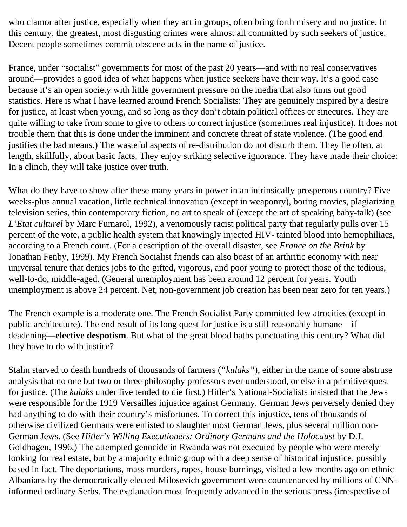who clamor after justice, especially when they act in groups, often bring forth misery and no justice. In this century, the greatest, most disgusting crimes were almost all committed by such seekers of justice. Decent people sometimes commit obscene acts in the name of justice.

France, under "socialist" governments for most of the past 20 years—and with no real conservatives around—provides a good idea of what happens when justice seekers have their way. It's a good case because it's an open society with little government pressure on the media that also turns out good statistics. Here is what I have learned around French Socialists: They are genuinely inspired by a desire for justice, at least when young, and so long as they don't obtain political offices or sinecures. They are quite willing to take from some to give to others to correct injustice (sometimes real injustice). It does not trouble them that this is done under the imminent and concrete threat of state violence. (The good end justifies the bad means.) The wasteful aspects of re-distribution do not disturb them. They lie often, at length, skillfully, about basic facts. They enjoy striking selective ignorance. They have made their choice: In a clinch, they will take justice over truth.

What do they have to show after these many years in power in an intrinsically prosperous country? Five weeks-plus annual vacation, little technical innovation (except in weaponry), boring movies, plagiarizing television series, thin contemporary fiction, no art to speak of (except the art of speaking baby-talk) (see *L'Etat culturel* by Marc Fumarol, 1992), a venomously racist political party that regularly pulls over 15 percent of the vote, a public health system that knowingly injected HIV- tainted blood into hemophiliacs, according to a French court. (For a description of the overall disaster, see *France on the Brink* by Jonathan Fenby, 1999). My French Socialist friends can also boast of an arthritic economy with near universal tenure that denies jobs to the gifted, vigorous, and poor young to protect those of the tedious, well-to-do, middle-aged. (General unemployment has been around 12 percent for years. Youth unemployment is above 24 percent. Net, non-government job creation has been near zero for ten years.)

The French example is a moderate one. The French Socialist Party committed few atrocities (except in public architecture). The end result of its long quest for justice is a still reasonably humane—if deadening—**elective despotism**. But what of the great blood baths punctuating this century? What did they have to do with justice?

Stalin starved to death hundreds of thousands of farmers (*"kulaks"*), either in the name of some abstruse analysis that no one but two or three philosophy professors ever understood, or else in a primitive quest for justice. (The *kulaks* under five tended to die first.) Hitler's National-Socialists insisted that the Jews were responsible for the 1919 Versailles injustice against Germany. German Jews perversely denied they had anything to do with their country's misfortunes. To correct this injustice, tens of thousands of otherwise civilized Germans were enlisted to slaughter most German Jews, plus several million non-German Jews. (See *Hitler's Willing Executioners: Ordinary Germans and the Holocaust* by D.J. Goldhagen, 1996.) The attempted genocide in Rwanda was not executed by people who were merely looking for real estate, but by a majority ethnic group with a deep sense of historical injustice, possibly based in fact. The deportations, mass murders, rapes, house burnings, visited a few months ago on ethnic Albanians by the democratically elected Milosevich government were countenanced by millions of CNNinformed ordinary Serbs. The explanation most frequently advanced in the serious press (irrespective of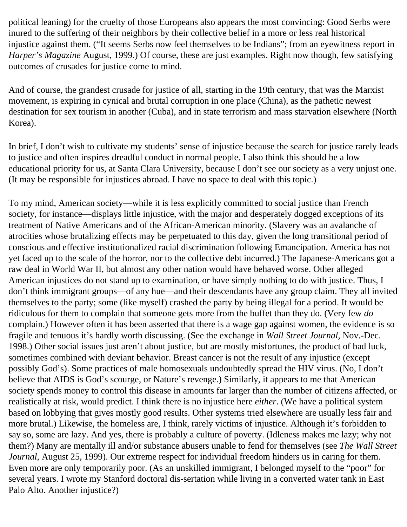political leaning) for the cruelty of those Europeans also appears the most convincing: Good Serbs were inured to the suffering of their neighbors by their collective belief in a more or less real historical injustice against them. ("It seems Serbs now feel themselves to be Indians"; from an eyewitness report in *Harper's Magazine* August, 1999.) Of course, these are just examples. Right now though, few satisfying outcomes of crusades for justice come to mind.

And of course, the grandest crusade for justice of all, starting in the 19th century, that was the Marxist movement, is expiring in cynical and brutal corruption in one place (China), as the pathetic newest destination for sex tourism in another (Cuba), and in state terrorism and mass starvation elsewhere (North Korea).

In brief, I don't wish to cultivate my students' sense of injustice because the search for justice rarely leads to justice and often inspires dreadful conduct in normal people. I also think this should be a low educational priority for us, at Santa Clara University, because I don't see our society as a very unjust one. (It may be responsible for injustices abroad. I have no space to deal with this topic.)

To my mind, American society—while it is less explicitly committed to social justice than French society, for instance—displays little injustice, with the major and desperately dogged exceptions of its treatment of Native Americans and of the African-American minority. (Slavery was an avalanche of atrocities whose brutalizing effects may be perpetuated to this day, given the long transitional period of conscious and effective institutionalized racial discrimination following Emancipation. America has not yet faced up to the scale of the horror, nor to the collective debt incurred.) The Japanese-Americans got a raw deal in World War II, but almost any other nation would have behaved worse. Other alleged American injustices do not stand up to examination, or have simply nothing to do with justice. Thus, I don't think immigrant groups—of any hue—and their descendants have any group claim. They all invited themselves to the party; some (like myself) crashed the party by being illegal for a period. It would be ridiculous for them to complain that someone gets more from the buffet than they do. (Very few *do* complain.) However often it has been asserted that there is a wage gap against women, the evidence is so fragile and tenuous it's hardly worth discussing. (See the exchange in *Wall Street Journal*, Nov.-Dec. 1998.) Other social issues just aren't about justice, but are mostly misfortunes, the product of bad luck, sometimes combined with deviant behavior. Breast cancer is not the result of any injustice (except possibly God's). Some practices of male homosexuals undoubtedly spread the HIV virus. (No, I don't believe that AIDS is God's scourge, or Nature's revenge.) Similarly, it appears to me that American society spends money to control this disease in amounts far larger than the number of citizens affected, or realistically at risk, would predict. I think there is no injustice here *either*. (We have a political system based on lobbying that gives mostly good results. Other systems tried elsewhere are usually less fair and more brutal.) Likewise, the homeless are, I think, rarely victims of injustice. Although it's forbidden to say so, some are lazy. And yes, there is probably a culture of poverty. (Idleness makes me lazy; why not them?) Many are mentally ill and/or substance abusers unable to fend for themselves (see *The Wall Street Journal*, August 25, 1999). Our extreme respect for individual freedom hinders us in caring for them. Even more are only temporarily poor. (As an unskilled immigrant, I belonged myself to the "poor" for several years. I wrote my Stanford doctoral dis-sertation while living in a converted water tank in East Palo Alto. Another injustice?)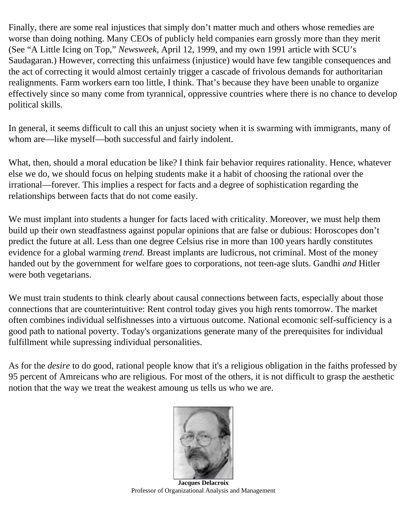Finally, there are some real injustices that simply don't matter much and others whose remedies are worse than doing nothing. Many CEOs of publicly held companies earn grossly more than they merit (See "A Little Icing on Top," *Newsweek,* April 12, 1999, and my own 1991 article with SCU's Saudagaran.) However, correcting this unfairness (injustice) would have few tangible consequences and the act of correcting it would almost certainly trigger a cascade of frivolous demands for authoritarian realignments. Farm workers earn too little, I think. That's because they have been unable to organize effectively since so many come from tyrannical, oppressive countries where there is no chance to develop political skills.

In general, it seems difficult to call this an unjust society when it is swarming with immigrants, many of whom are—like myself—both successful and fairly indolent.

What, then, should a moral education be like? I think fair behavior requires rationality. Hence, whatever else we do, we should focus on helping students make it a habit of choosing the rational over the irrational—forever. This implies a respect for facts and a degree of sophistication regarding the relationships between facts that do not come easily.

We must implant into students a hunger for facts laced with criticality. Moreover, we must help them build up their own steadfastness against popular opinions that are false or dubious: Horoscopes don't predict the future at all. Less than one degree Celsius rise in more than 100 years hardly constitutes evidence for a global warming *trend.* Breast implants are ludicrous, not criminal. Most of the money handed out by the government for welfare goes to corporations, not teen-age sluts. Gandhi *and* Hitler were both vegetarians.

We must train students to think clearly about causal connections between facts, especially about those connections that are counterintuitive: Rent control today gives you high rents tomorrow. The market often combines individual selfishnesses into a virtuous outcome. National ecomonic self-sufficiency is a good path to national poverty. Today's organizations generate many of the prerequisites for individual fulfillment while supressing individual personalities.

As for the *desire* to do good, rational people know that it's a religious obligation in the faiths professed by 95 percent of Amreicans who are religious. For most of the others, it is not difficult to grasp the aesthetic notion that the way we treat the weakest amoung us tells us who we are.



**Jacques Delacroix** Professor of Organizational Analysis and Management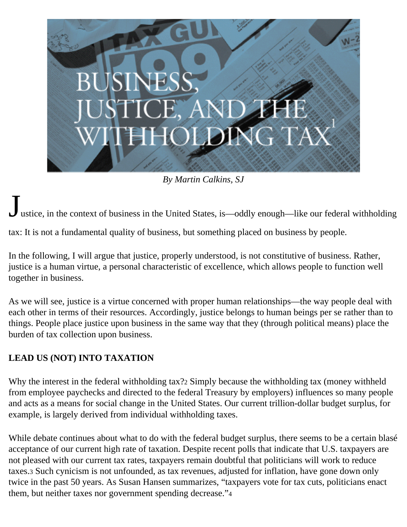

*By Martin Calkins, SJ* 

ustice, in the context of business in the United States, is—oddly enough—like our federal withholding

tax: It is not a fundamental quality of business, but something placed on business by people.

In the following, I will argue that justice, properly understood, is not constitutive of business. Rather, justice is a human virtue, a personal characteristic of excellence, which allows people to function well together in business.

As we will see, justice is a virtue concerned with proper human relationships—the way people deal with each other in terms of their resources. Accordingly, justice belongs to human beings per se rather than to things. People place justice upon business in the same way that they (through political means) place the burden of tax collection upon business.

#### **LEAD US (NOT) INTO TAXATION**

Why the interest in the federal withholding tax?2 Simply because the withholding tax (money withheld from employee paychecks and directed to the federal Treasury by employers) influences so many people and acts as a means for social change in the United States. Our current trillion-dollar budget surplus, for example, is largely derived from individual withholding taxes.

While debate continues about what to do with the federal budget surplus, there seems to be a certain blasé acceptance of our current high rate of taxation. Despite recent polls that indicate that U.S. taxpayers are not pleased with our current tax rates, taxpayers remain doubtful that politicians will work to reduce taxes.3 Such cynicism is not unfounded, as tax revenues, adjusted for inflation, have gone down only twice in the past 50 years. As Susan Hansen summarizes, "taxpayers vote for tax cuts, politicians enact them, but neither taxes nor government spending decrease."4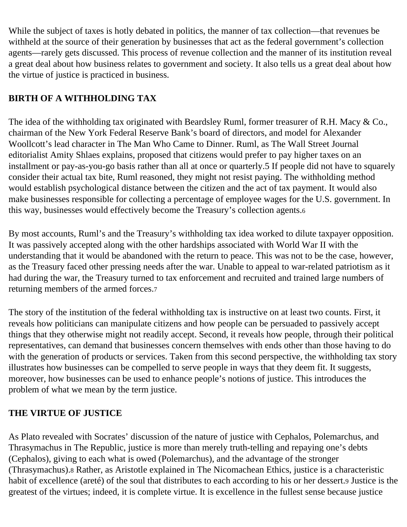While the subject of taxes is hotly debated in politics, the manner of tax collection—that revenues be withheld at the source of their generation by businesses that act as the federal government's collection agents—rarely gets discussed. This process of revenue collection and the manner of its institution reveal a great deal about how business relates to government and society. It also tells us a great deal about how the virtue of justice is practiced in business.

### **BIRTH OF A WITHHOLDING TAX**

The idea of the withholding tax originated with Beardsley Ruml, former treasurer of R.H. Macy & Co., chairman of the New York Federal Reserve Bank's board of directors, and model for Alexander Woollcott's lead character in The Man Who Came to Dinner. Ruml, as The Wall Street Journal editorialist Amity Shlaes explains, proposed that citizens would prefer to pay higher taxes on an installment or pay-as-you-go basis rather than all at once or quarterly.5 If people did not have to squarely consider their actual tax bite, Ruml reasoned, they might not resist paying. The withholding method would establish psychological distance between the citizen and the act of tax payment. It would also make businesses responsible for collecting a percentage of employee wages for the U.S. government. In this way, businesses would effectively become the Treasury's collection agents.6

By most accounts, Ruml's and the Treasury's withholding tax idea worked to dilute taxpayer opposition. It was passively accepted along with the other hardships associated with World War II with the understanding that it would be abandoned with the return to peace. This was not to be the case, however, as the Treasury faced other pressing needs after the war. Unable to appeal to war-related patriotism as it had during the war, the Treasury turned to tax enforcement and recruited and trained large numbers of returning members of the armed forces.7

The story of the institution of the federal withholding tax is instructive on at least two counts. First, it reveals how politicians can manipulate citizens and how people can be persuaded to passively accept things that they otherwise might not readily accept. Second, it reveals how people, through their political representatives, can demand that businesses concern themselves with ends other than those having to do with the generation of products or services. Taken from this second perspective, the withholding tax story illustrates how businesses can be compelled to serve people in ways that they deem fit. It suggests, moreover, how businesses can be used to enhance people's notions of justice. This introduces the problem of what we mean by the term justice.

#### **THE VIRTUE OF JUSTICE**

As Plato revealed with Socrates' discussion of the nature of justice with Cephalos, Polemarchus, and Thrasymachus in The Republic, justice is more than merely truth-telling and repaying one's debts (Cephalos), giving to each what is owed (Polemarchus), and the advantage of the stronger (Thrasymachus).8 Rather, as Aristotle explained in The Nicomachean Ethics, justice is a characteristic habit of excellence (areté) of the soul that distributes to each according to his or her dessert.9 Justice is the greatest of the virtues; indeed, it is complete virtue. It is excellence in the fullest sense because justice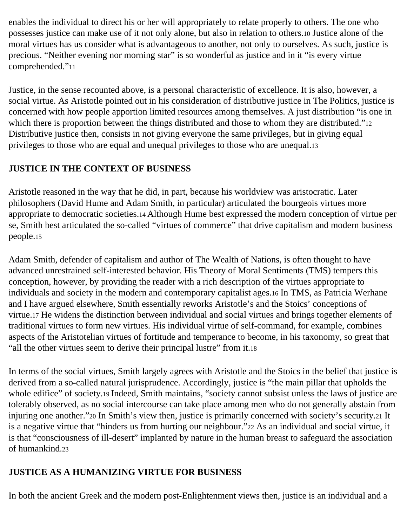enables the individual to direct his or her will appropriately to relate properly to others. The one who possesses justice can make use of it not only alone, but also in relation to others.10 Justice alone of the moral virtues has us consider what is advantageous to another, not only to ourselves. As such, justice is precious. "Neither evening nor morning star" is so wonderful as justice and in it "is every virtue comprehended."11

Justice, in the sense recounted above, is a personal characteristic of excellence. It is also, however, a social virtue. As Aristotle pointed out in his consideration of distributive justice in The Politics, justice is concerned with how people apportion limited resources among themselves. A just distribution "is one in which there is proportion between the things distributed and those to whom they are distributed."12 Distributive justice then, consists in not giving everyone the same privileges, but in giving equal privileges to those who are equal and unequal privileges to those who are unequal.13

#### **JUSTICE IN THE CONTEXT OF BUSINESS**

Aristotle reasoned in the way that he did, in part, because his worldview was aristocratic. Later philosophers (David Hume and Adam Smith, in particular) articulated the bourgeois virtues more appropriate to democratic societies.14 Although Hume best expressed the modern conception of virtue per se, Smith best articulated the so-called "virtues of commerce" that drive capitalism and modern business people.15

Adam Smith, defender of capitalism and author of The Wealth of Nations, is often thought to have advanced unrestrained self-interested behavior. His Theory of Moral Sentiments (TMS) tempers this conception, however, by providing the reader with a rich description of the virtues appropriate to individuals and society in the modern and contemporary capitalist ages.16 In TMS, as Patricia Werhane and I have argued elsewhere, Smith essentially reworks Aristotle's and the Stoics' conceptions of virtue.17 He widens the distinction between individual and social virtues and brings together elements of traditional virtues to form new virtues. His individual virtue of self-command, for example, combines aspects of the Aristotelian virtues of fortitude and temperance to become, in his taxonomy, so great that "all the other virtues seem to derive their principal lustre" from it.18

In terms of the social virtues, Smith largely agrees with Aristotle and the Stoics in the belief that justice is derived from a so-called natural jurisprudence. Accordingly, justice is "the main pillar that upholds the whole edifice" of society.19 Indeed, Smith maintains, "society cannot subsist unless the laws of justice are tolerably observed, as no social intercourse can take place among men who do not generally abstain from injuring one another."20 In Smith's view then, justice is primarily concerned with society's security.21 It is a negative virtue that "hinders us from hurting our neighbour."22 As an individual and social virtue, it is that "consciousness of ill-desert" implanted by nature in the human breast to safeguard the association of humankind.23

#### **JUSTICE AS A HUMANIZING VIRTUE FOR BUSINESS**

In both the ancient Greek and the modern post-Enlightenment views then, justice is an individual and a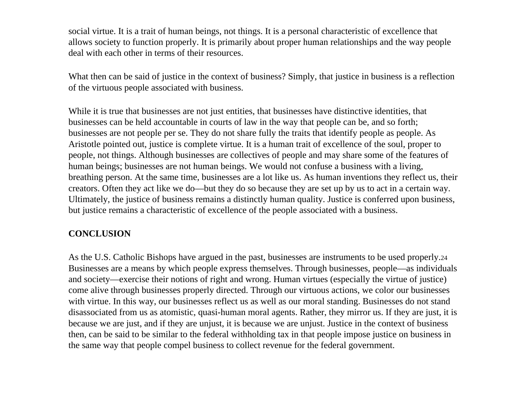social virtue. It is a trait of human beings, not things. It is a personal characteristic of excellence that allows society to function properly. It is primarily about proper human relationships and the way people deal with each other in terms of their resources.

What then can be said of justice in the context of business? Simply, that justice in business is a reflection of the virtuous people associated with business.

While it is true that businesses are not just entities, that businesses have distinctive identities, that businesses can be held accountable in courts of law in the way that people can be, and so forth; businesses are not people per se. They do not share fully the traits that identify people as people. As Aristotle pointed out, justice is complete virtue. It is a human trait of excellence of the soul, proper to people, not things. Although businesses are collectives of people and may share some of the features of human beings; businesses are not human beings. We would not confuse a business with a living, breathing person. At the same time, businesses are a lot like us. As human inventions they reflect us, their creators. Often they act like we do—but they do so because they are set up by us to act in a certain way. Ultimately, the justice of business remains a distinctly human quality. Justice is conferred upon business, but justice remains a characteristic of excellence of the people associated with a business.

#### **CONCLUSION**

As the U.S. Catholic Bishops have argued in the past, businesses are instruments to be used properly.24 Businesses are a means by which people express themselves. Through businesses, people—as individuals and society—exercise their notions of right and wrong. Human virtues (especially the virtue of justice) come alive through businesses properly directed. Through our virtuous actions, we color our businesses with virtue. In this way, our businesses reflect us as well as our moral standing. Businesses do not stand disassociated from us as atomistic, quasi-human moral agents. Rather, they mirror us. If they are just, it is because we are just, and if they are unjust, it is because we are unjust. Justice in the context of business then, can be said to be similar to the federal withholding tax in that people impose justice on business in the same way that people compel business to collect revenue for the federal government.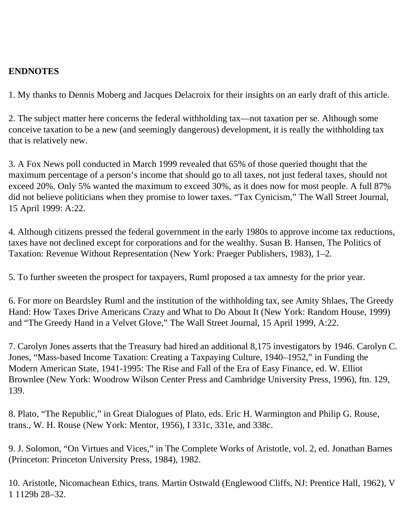#### **ENDNOTES**

1. My thanks to Dennis Moberg and Jacques Delacroix for their insights on an early draft of this article.

2. The subject matter here concerns the federal withholding tax—not taxation per se. Although some conceive taxation to be a new (and seemingly dangerous) development, it is really the withholding tax that is relatively new.

3. A Fox News poll conducted in March 1999 revealed that 65% of those queried thought that the maximum percentage of a person's income that should go to all taxes, not just federal taxes, should not exceed 20%. Only 5% wanted the maximum to exceed 30%, as it does now for most people. A full 87% did not believe politicians when they promise to lower taxes. "Tax Cynicism," The Wall Street Journal, 15 April 1999: A:22.

4. Although citizens pressed the federal government in the early 1980s to approve income tax reductions, taxes have not declined except for corporations and for the wealthy. Susan B. Hansen, The Politics of Taxation: Revenue Without Representation (New York: Praeger Publishers, 1983), 1–2.

5. To further sweeten the prospect for taxpayers, Ruml proposed a tax amnesty for the prior year.

6. For more on Beardsley Ruml and the institution of the withholding tax, see Amity Shlaes, The Greedy Hand: How Taxes Drive Americans Crazy and What to Do About It (New York: Random House, 1999) and "The Greedy Hand in a Velvet Glove," The Wall Street Journal, 15 April 1999, A:22.

7. Carolyn Jones asserts that the Treasury had hired an additional 8,175 investigators by 1946. Carolyn C. Jones, "Mass-based Income Taxation: Creating a Taxpaying Culture, 1940–1952," in Funding the Modern American State, 1941-1995: The Rise and Fall of the Era of Easy Finance, ed. W. Elliot Brownlee (New York: Woodrow Wilson Center Press and Cambridge University Press, 1996), ftn. 129, 139.

8. Plato, "The Republic," in Great Dialogues of Plato, eds. Eric H. Warmington and Philip G. Rouse, trans., W. H. Rouse (New York: Mentor, 1956), I 331c, 331e, and 338c.

9. J. Solomon, "On Virtues and Vices," in The Complete Works of Aristotle, vol. 2, ed. Jonathan Barnes (Princeton: Princeton University Press, 1984), 1982.

10. Aristotle, Nicomachean Ethics, trans. Martin Ostwald (Englewood Cliffs, NJ: Prentice Hall, 1962), V 1 1129b 28–32.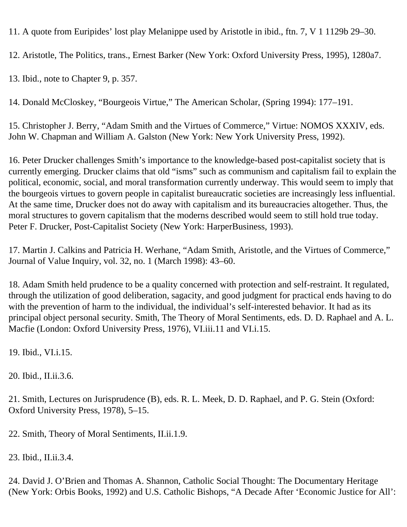11. A quote from Euripides' lost play Melanippe used by Aristotle in ibid., ftn. 7, V 1 1129b 29–30.

12. Aristotle, The Politics, trans., Ernest Barker (New York: Oxford University Press, 1995), 1280a7.

13. Ibid., note to Chapter 9, p. 357.

14. Donald McCloskey, "Bourgeois Virtue," The American Scholar, (Spring 1994): 177–191.

15. Christopher J. Berry, "Adam Smith and the Virtues of Commerce," Virtue: NOMOS XXXIV, eds. John W. Chapman and William A. Galston (New York: New York University Press, 1992).

16. Peter Drucker challenges Smith's importance to the knowledge-based post-capitalist society that is currently emerging. Drucker claims that old "isms" such as communism and capitalism fail to explain the political, economic, social, and moral transformation currently underway. This would seem to imply that the bourgeois virtues to govern people in capitalist bureaucratic societies are increasingly less influential. At the same time, Drucker does not do away with capitalism and its bureaucracies altogether. Thus, the moral structures to govern capitalism that the moderns described would seem to still hold true today. Peter F. Drucker, Post-Capitalist Society (New York: HarperBusiness, 1993).

17. Martin J. Calkins and Patricia H. Werhane, "Adam Smith, Aristotle, and the Virtues of Commerce," Journal of Value Inquiry, vol. 32, no. 1 (March 1998): 43–60.

18. Adam Smith held prudence to be a quality concerned with protection and self-restraint. It regulated, through the utilization of good deliberation, sagacity, and good judgment for practical ends having to do with the prevention of harm to the individual, the individual's self-interested behavior. It had as its principal object personal security. Smith, The Theory of Moral Sentiments, eds. D. D. Raphael and A. L. Macfie (London: Oxford University Press, 1976), VI.iii.11 and VI.i.15.

19. Ibid., VI.i.15.

20. Ibid., II.ii.3.6.

21. Smith, Lectures on Jurisprudence (B), eds. R. L. Meek, D. D. Raphael, and P. G. Stein (Oxford: Oxford University Press, 1978), 5–15.

22. Smith, Theory of Moral Sentiments, II.ii.1.9.

23. Ibid., II.ii.3.4.

24. David J. O'Brien and Thomas A. Shannon, Catholic Social Thought: The Documentary Heritage (New York: Orbis Books, 1992) and U.S. Catholic Bishops, "A Decade After 'Economic Justice for All':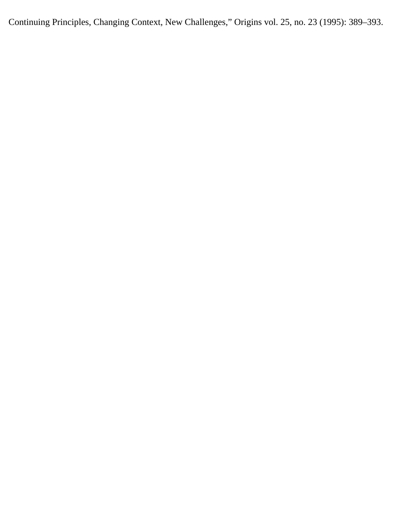Continuing Principles, Changing Context, New Challenges," Origins vol. 25, no. 23 (1995): 389–393.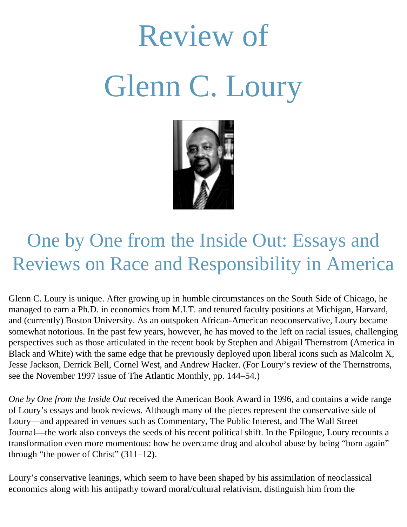# Review of Glenn C. Loury



## One by One from the Inside Out: Essays and Reviews on Race and Responsibility in America

Glenn C. Loury is unique. After growing up in humble circumstances on the South Side of Chicago, he managed to earn a Ph.D. in economics from M.I.T. and tenured faculty positions at Michigan, Harvard, and (currently) Boston University. As an outspoken African-American neoconservative, Loury became somewhat notorious. In the past few years, however, he has moved to the left on racial issues, challenging perspectives such as those articulated in the recent book by Stephen and Abigail Thernstrom (America in Black and White) with the same edge that he previously deployed upon liberal icons such as Malcolm X, Jesse Jackson, Derrick Bell, Cornel West, and Andrew Hacker. (For Loury's review of the Thernstroms, see the November 1997 issue of The Atlantic Monthly, pp. 144–54.)

*One by One from the Inside Out* received the American Book Award in 1996, and contains a wide range of Loury's essays and book reviews. Although many of the pieces represent the conservative side of Loury—and appeared in venues such as Commentary, The Public Interest, and The Wall Street Journal—the work also conveys the seeds of his recent political shift. In the Epilogue, Loury recounts a transformation even more momentous: how he overcame drug and alcohol abuse by being "born again" through "the power of Christ" (311–12).

Loury's conservative leanings, which seem to have been shaped by his assimilation of neoclassical economics along with his antipathy toward moral/cultural relativism, distinguish him from the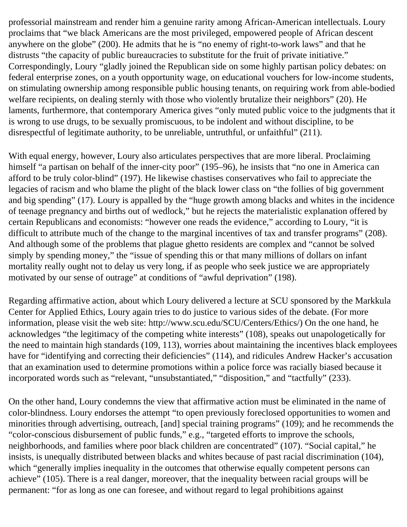professorial mainstream and render him a genuine rarity among African-American intellectuals. Loury proclaims that "we black Americans are the most privileged, empowered people of African descent anywhere on the globe" (200). He admits that he is "no enemy of right-to-work laws" and that he distrusts "the capacity of public bureaucracies to substitute for the fruit of private initiative." Correspondingly, Loury "gladly joined the Republican side on some highly partisan policy debates: on federal enterprise zones, on a youth opportunity wage, on educational vouchers for low-income students, on stimulating ownership among responsible public housing tenants, on requiring work from able-bodied welfare recipients, on dealing sternly with those who violently brutalize their neighbors" (20). He laments, furthermore, that contemporary America gives "only muted public voice to the judgments that it is wrong to use drugs, to be sexually promiscuous, to be indolent and without discipline, to be disrespectful of legitimate authority, to be unreliable, untruthful, or unfaithful" (211).

With equal energy, however, Loury also articulates perspectives that are more liberal. Proclaiming himself "a partisan on behalf of the inner-city poor" (195–96), he insists that "no one in America can afford to be truly color-blind" (197). He likewise chastises conservatives who fail to appreciate the legacies of racism and who blame the plight of the black lower class on "the follies of big government and big spending" (17). Loury is appalled by the "huge growth among blacks and whites in the incidence of teenage pregnancy and births out of wedlock," but he rejects the materialistic explanation offered by certain Republicans and economists: "however one reads the evidence," according to Loury, "it is difficult to attribute much of the change to the marginal incentives of tax and transfer programs" (208). And although some of the problems that plague ghetto residents are complex and "cannot be solved simply by spending money," the "issue of spending this or that many millions of dollars on infant mortality really ought not to delay us very long, if as people who seek justice we are appropriately motivated by our sense of outrage" at conditions of "awful deprivation" (198).

Regarding affirmative action, about which Loury delivered a lecture at SCU sponsored by the Markkula Center for Applied Ethics, Loury again tries to do justice to various sides of the debate. (For more information, please visit the web site: http://www.scu.edu/SCU/Centers/Ethics/) On the one hand, he acknowledges "the legitimacy of the competing white interests" (108), speaks out unapologetically for the need to maintain high standards (109, 113), worries about maintaining the incentives black employees have for "identifying and correcting their deficiencies" (114), and ridicules Andrew Hacker's accusation that an examination used to determine promotions within a police force was racially biased because it incorporated words such as "relevant, "unsubstantiated," "disposition," and "tactfully" (233).

On the other hand, Loury condemns the view that affirmative action must be eliminated in the name of color-blindness. Loury endorses the attempt "to open previously foreclosed opportunities to women and minorities through advertising, outreach, [and] special training programs" (109); and he recommends the "color-conscious disbursement of public funds," e.g., "targeted efforts to improve the schools, neighborhoods, and families where poor black children are concentrated" (107). "Social capital," he insists, is unequally distributed between blacks and whites because of past racial discrimination (104), which "generally implies inequality in the outcomes that otherwise equally competent persons can achieve" (105). There is a real danger, moreover, that the inequality between racial groups will be permanent: "for as long as one can foresee, and without regard to legal prohibitions against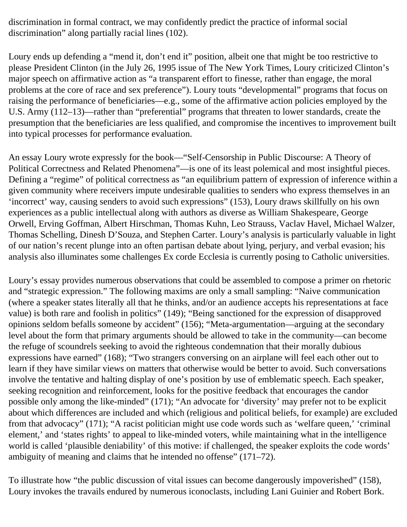discrimination in formal contract, we may confidently predict the practice of informal social discrimination" along partially racial lines (102).

Loury ends up defending a "mend it, don't end it" position, albeit one that might be too restrictive to please President Clinton (in the July 26, 1995 issue of The New York Times, Loury criticized Clinton's major speech on affirmative action as "a transparent effort to finesse, rather than engage, the moral problems at the core of race and sex preference"). Loury touts "developmental" programs that focus on raising the performance of beneficiaries—e.g., some of the affirmative action policies employed by the U.S. Army (112–13)—rather than "preferential" programs that threaten to lower standards, create the presumption that the beneficiaries are less qualified, and compromise the incentives to improvement built into typical processes for performance evaluation.

An essay Loury wrote expressly for the book—"Self-Censorship in Public Discourse: A Theory of Political Correctness and Related Phenomena"—is one of its least polemical and most insightful pieces. Defining a "regime" of political correctness as "an equilibrium pattern of expression of inference within a given community where receivers impute undesirable qualities to senders who express themselves in an 'incorrect' way, causing senders to avoid such expressions" (153), Loury draws skillfully on his own experiences as a public intellectual along with authors as diverse as William Shakespeare, George Orwell, Erving Goffman, Albert Hirschman, Thomas Kuhn, Leo Strauss, Vaclav Havel, Michael Walzer, Thomas Schelling, Dinesh D'Souza, and Stephen Carter. Loury's analysis is particularly valuable in light of our nation's recent plunge into an often partisan debate about lying, perjury, and verbal evasion; his analysis also illuminates some challenges Ex corde Ecclesia is currently posing to Catholic universities.

Loury's essay provides numerous observations that could be assembled to compose a primer on rhetoric and "strategic expression." The following maxims are only a small sampling: "Naive communication (where a speaker states literally all that he thinks, and/or an audience accepts his representations at face value) is both rare and foolish in politics" (149); "Being sanctioned for the expression of disapproved opinions seldom befalls someone by accident" (156); "Meta-argumentation—arguing at the secondary level about the form that primary arguments should be allowed to take in the community—can become the refuge of scoundrels seeking to avoid the righteous condemnation that their morally dubious expressions have earned" (168); "Two strangers conversing on an airplane will feel each other out to learn if they have similar views on matters that otherwise would be better to avoid. Such conversations involve the tentative and halting display of one's position by use of emblematic speech. Each speaker, seeking recognition and reinforcement, looks for the positive feedback that encourages the candor possible only among the like-minded" (171); "An advocate for 'diversity' may prefer not to be explicit about which differences are included and which (religious and political beliefs, for example) are excluded from that advocacy" (171); "A racist politician might use code words such as 'welfare queen,' 'criminal element,' and 'states rights' to appeal to like-minded voters, while maintaining what in the intelligence world is called 'plausible deniability' of this motive: if challenged, the speaker exploits the code words' ambiguity of meaning and claims that he intended no offense" (171–72).

To illustrate how "the public discussion of vital issues can become dangerously impoverished" (158), Loury invokes the travails endured by numerous iconoclasts, including Lani Guinier and Robert Bork.